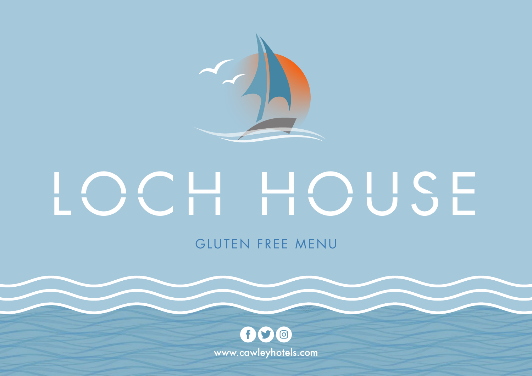$f$  $O$ www.cawleyhotels.com



# GLUTEN FREE MENU



# LOCH HOUSE